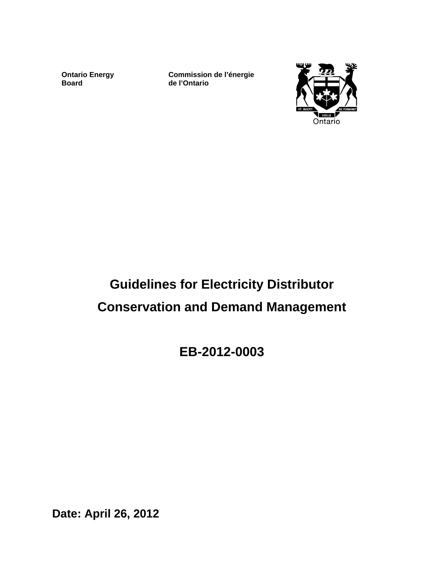**Ontario Energy Board** 

**Commission de l'énergie de l'Ontario**



# **Guidelines for Electricity Distributor Conservation and Demand Management**

**EB-2012-0003**

**Date: April 26, 2012**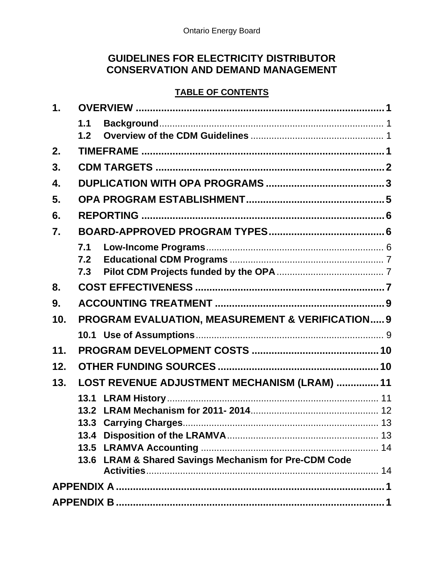# **GUIDELINES FOR ELECTRICITY DISTRIBUTOR CONSERVATION AND DEMAND MANAGEMENT**

#### **TABLE OF CONTENTS**

| $\mathbf 1$ . |     |                                                             |  |  |  |  |
|---------------|-----|-------------------------------------------------------------|--|--|--|--|
|               | 1.1 |                                                             |  |  |  |  |
|               | 1.2 |                                                             |  |  |  |  |
| 2.            |     |                                                             |  |  |  |  |
| 3.            |     |                                                             |  |  |  |  |
| 4.            |     |                                                             |  |  |  |  |
| 5.            |     |                                                             |  |  |  |  |
| 6.            |     |                                                             |  |  |  |  |
| 7.            |     |                                                             |  |  |  |  |
|               |     |                                                             |  |  |  |  |
|               | 7.2 |                                                             |  |  |  |  |
|               | 7.3 |                                                             |  |  |  |  |
| 8.            |     |                                                             |  |  |  |  |
| 9.            |     |                                                             |  |  |  |  |
| 10.           |     | <b>PROGRAM EVALUATION, MEASUREMENT &amp; VERIFICATION 9</b> |  |  |  |  |
|               |     |                                                             |  |  |  |  |
| 11.           |     |                                                             |  |  |  |  |
| 12.           |     |                                                             |  |  |  |  |
| 13.           |     | LOST REVENUE ADJUSTMENT MECHANISM (LRAM)  11                |  |  |  |  |
|               |     |                                                             |  |  |  |  |
|               |     |                                                             |  |  |  |  |
|               |     |                                                             |  |  |  |  |
|               |     |                                                             |  |  |  |  |
|               |     |                                                             |  |  |  |  |
|               |     | 13.6 LRAM & Shared Savings Mechanism for Pre-CDM Code       |  |  |  |  |
|               |     |                                                             |  |  |  |  |
|               |     |                                                             |  |  |  |  |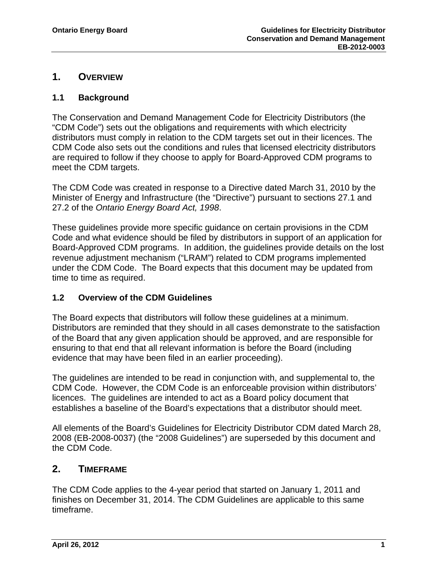### <span id="page-2-0"></span>**1. OVERVIEW**

### <span id="page-2-1"></span>**1.1 Background**

The Conservation and Demand Management Code for Electricity Distributors (the "CDM Code") sets out the obligations and requirements with which electricity distributors must comply in relation to the CDM targets set out in their licences. The CDM Code also sets out the conditions and rules that licensed electricity distributors are required to follow if they choose to apply for Board-Approved CDM programs to meet the CDM targets.

The CDM Code was created in response to a Directive dated March 31, 2010 by the Minister of Energy and Infrastructure (the "Directive") pursuant to sections 27.1 and 27.2 of the *Ontario Energy Board Act, 1998*.

These guidelines provide more specific guidance on certain provisions in the CDM Code and what evidence should be filed by distributors in support of an application for Board-Approved CDM programs. In addition, the guidelines provide details on the lost revenue adjustment mechanism ("LRAM") related to CDM programs implemented under the CDM Code. The Board expects that this document may be updated from time to time as required.

#### <span id="page-2-2"></span>**1.2 Overview of the CDM Guidelines**

The Board expects that distributors will follow these guidelines at a minimum. Distributors are reminded that they should in all cases demonstrate to the satisfaction of the Board that any given application should be approved, and are responsible for ensuring to that end that all relevant information is before the Board (including evidence that may have been filed in an earlier proceeding).

The guidelines are intended to be read in conjunction with, and supplemental to, the CDM Code. However, the CDM Code is an enforceable provision within distributors' licences. The guidelines are intended to act as a Board policy document that establishes a baseline of the Board's expectations that a distributor should meet.

All elements of the Board's Guidelines for Electricity Distributor CDM dated March 28, 2008 (EB-2008-0037) (the "2008 Guidelines") are superseded by this document and the CDM Code.

### <span id="page-2-3"></span>**2. TIMEFRAME**

The CDM Code applies to the 4-year period that started on January 1, 2011 and finishes on December 31, 2014. The CDM Guidelines are applicable to this same timeframe.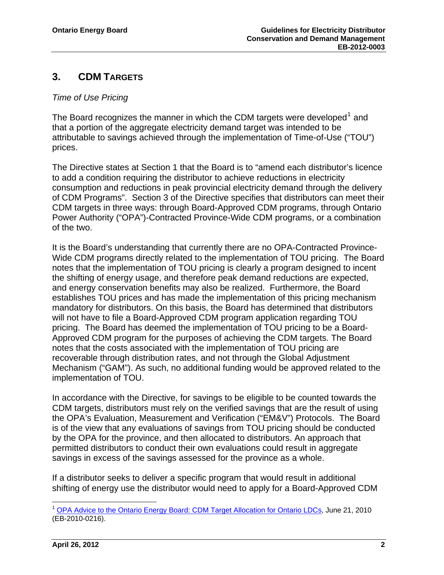# <span id="page-3-0"></span>**3. CDM TARGETS**

### *Time of Use Pricing*

The Board recognizes the manner in which the CDM targets were developed<sup>[1](#page-3-1)</sup> and that a portion of the aggregate electricity demand target was intended to be attributable to savings achieved through the implementation of Time-of-Use ("TOU") prices.

The Directive states at Section 1 that the Board is to "amend each distributor's licence Power Authority ("OPA")-Contracted Province-Wide CDM programs, or a combination of the two. to add a condition requiring the distributor to achieve reductions in electricity consumption and reductions in peak provincial electricity demand through the delivery of CDM Programs". Section 3 of the Directive specifies that distributors can meet their CDM targets in three ways: through Board-Approved CDM programs, through Ontario

notes that the implementation of TOU pricing is clearly a program designed to incent the shifting of energy usage, and therefore peak demand reductions are expected, mandatory for distributors. On this basis, the Board has determined that distributors Approved CDM program for the purposes of achieving the CDM targets. The Board Mechanism ("GAM"). As such, no additional funding would be approved related to the implementation of TOU. It is the Board's understanding that currently there are no OPA-Contracted Province-Wide CDM programs directly related to the implementation of TOU pricing. The Board and energy conservation benefits may also be realized. Furthermore, the Board establishes TOU prices and has made the implementation of this pricing mechanism will not have to file a Board-Approved CDM program application regarding TOU pricing. The Board has deemed the implementation of TOU pricing to be a Boardnotes that the costs associated with the implementation of TOU pricing are recoverable through distribution rates, and not through the Global Adjustment

is of the view that any evaluations of savings from TOU pricing should be conducted permitted distributors to conduct their own evaluations could result in aggregate savings in excess of the savings assessed for the province as a whole. In accordance with the Directive, for savings to be eligible to be counted towards the CDM targets, distributors must rely on the verified savings that are the result of using the OPA's Evaluation, Measurement and Verification ("EM&V") Protocols. The Board by the OPA for the province, and then allocated to distributors. An approach that

If a distributor seeks to deliver a specific program that would result in additional shifting of energy use the distributor would need to apply for a Board-Approved CDM

<span id="page-3-1"></span><sup>1</sup> <sup>1</sup> [OPA Advice to the Ontario Energy Board: CDM Target Allocation for Ontario LDCs,](http://www.ontarioenergyboard.ca/OEB/_Documents/Documents/Advice%20to%20the%20Ontario%20Energy%20Board%20-%20CDM%20Target%20Al.pdf) June 21, 2010 (EB-2010-0216).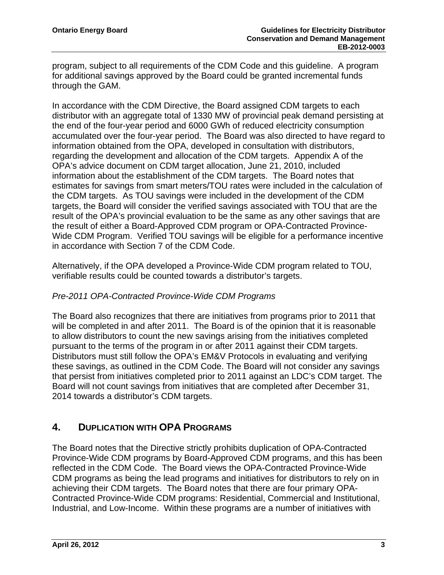program, subject to all requirements of the CDM Code and this guideline. A progr am for additional savings approved by the Board could be granted incremental funds through the GAM.

distributor with an aggregate total of 1330 MW of provincial peak demand persisting at accumulated over the four-year period. The Board was also directed to have regard to regarding the development and allocation of the CDM targets. Appendix A of the estimates for savings from smart meters/TOU rates were included in the calculation of result of the OPA's provincial evaluation to be the same as any other savings that are Wide CDM Program. Verified TOU savings will be eligible for a performance incentive in accordance with Section 7 of the CDM Code. In accordance with the CDM Directive, the Board assigned CDM targets to each the end of the four-year period and 6000 GWh of reduced electricity consumption information obtained from the OPA, developed in consultation with distributors, OPA's advice document on CDM target allocation, June 21, 2010, included information about the establishment of the CDM targets. The Board notes that the CDM targets. As TOU savings were included in the development of the CDM targets, the Board will consider the verified savings associated with TOU that are the the result of either a Board-Approved CDM program or OPA-Contracted Province-

Alternatively, if the OPA developed a Province-Wide CDM program related to TOU, verifiable results could be counted towards a distributor's targets.

#### *Pre-2011 OPA-Contracted Province-Wide CDM Programs*

that persist from initiatives completed prior to 2011 against an LDC's CDM target. The Board will not count savings from initiatives that are completed after December 31, 2014 towards a distributor's CDM targets. The Board also recognizes that there are initiatives from programs prior to 2011 that will be completed in and after 2011. The Board is of the opinion that it is reasonable to allow distributors to count the new savings arising from the initiatives completed pursuant to the terms of the program in or after 2011 against their CDM targets. Distributors must still follow the OPA's EM&V Protocols in evaluating and verifying these savings, as outlined in the CDM Code. The Board will not consider any savings

#### <span id="page-4-0"></span>**. DUPLICATION WITH OPA PROGRAMS 4**

Province-Wide CDM programs by Board-Approved CDM programs, and this has been CDM programs as being the lead programs and initiatives for distributors to rely on in Contracted Province-Wide CDM programs: Residential, Commercial and Institutional, Industrial, and Low-Income. Within these programs are a number of initiatives with The Board notes that the Directive strictly prohibits duplication of OPA-Contracted reflected in the CDM Code. The Board views the OPA-Contracted Province-Wide achieving their CDM targets. The Board notes that there are four primary OPA-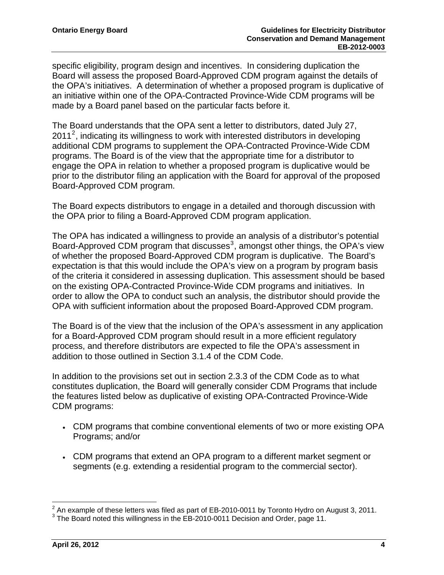specific eligibility, program design and incentives. In considering duplication the Board will assess the proposed Board-Approved CDM program against the details of the OPA's initiatives. A determination of whether a proposed program is duplicative o f an initiative within one of the OPA-Contracted Province-Wide CD M programs will be made by a Board panel based on the particular facts before it.

prior to the distributor filing an application with the Board for approval of the proposed Board-Approved CDM program. The Board understands that the OPA sent a letter to distributors, dated July 27,  $2011<sup>2</sup>$  $2011<sup>2</sup>$ , indicating its willingness to work with interested distributors in developing additional CDM programs to supplement the OPA-Contracted Province-Wide CDM programs. The Board is of the view that the appropriate time for a distributor to engage the OPA in relation to whether a proposed program is duplicative would be

The Board expects distributors to engage in a detailed and thorough discussion with the OPA prior to filing a Board-Approved CDM program application.

of the criteria it considered in assessing duplication. This assessment should be based OPA with sufficient information about the proposed Board-Approved CDM program. The OPA has indicated a willingness to provide an analysis of a distributor's potential Board-Approved CDM program that discusses<sup>[3](#page-5-1)</sup>, amongst other things, the OPA's view of whether the proposed Board-Approved CDM program is duplicative. The Board's expectation is that this would include the OPA's view on a program by program basis on the existing OPA-Contracted Province-Wide CDM programs and initiatives. In order to allow the OPA to conduct such an analysis, the distributor should provide the

The Board is of the view that the inclusion of the OPA's assessment in any application process, and therefore distributors are expected to file the OPA's assessment in addition to those outlined in Section 3.1.4 of the CDM Code. for a Board-Approved CDM program should result in a more efficient regulatory

constitutes duplication, the Board will generally consider CDM Programs that include the features listed below as duplicative of existing OPA-Contracted Province-Wide CDM programs: In addition to the provisions set out in section 2.3.3 of the CDM Code as to what

- CDM programs that combine conventional elements of two or more existing OPA Programs; and/or
- CDM programs that extend an OPA program to a different market segment or segments (e.g. extending a residential program to the commercial sector).

 $\frac{2}{3}$  An example of these letters was filed as part of EB-2010-0011 by Toronto Hydro on August 3, 2011.

<span id="page-5-1"></span><span id="page-5-0"></span>The Board noted this willingness in the EB-2010-0011 Decision and Order, page 11.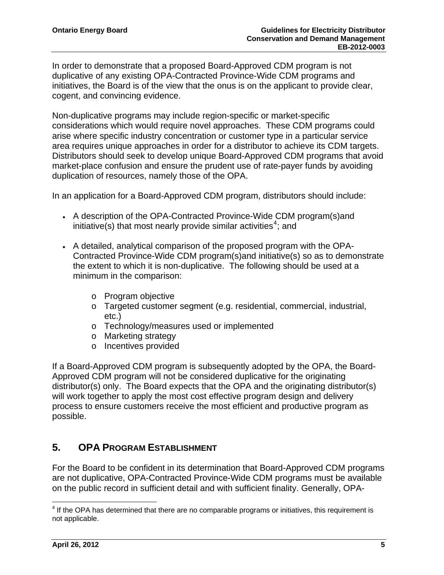In order to demonstrate that a proposed Board-Approved CDM program is not duplicative of any existing OPA-Contracted Province-Wide CDM programs and initiatives, the Board is of the view that the onus is on the applicant to provide clear, cogent, and convincing evidence.

area requires unique approaches in order for a distributor to achieve its CDM targets. Distributors should seek to develop unique Board-Approved CDM programs that avoid market-place confusion and ensure the prudent use of rate-payer funds by avoiding Non-duplicative programs may include region-specific or market-specific considerations which would require novel approaches. These CDM programs could arise where specific industry concentration or customer type in a particular service duplication of resources, namely those of the OPA.

In an application for a Board-Approved CDM program, distributors should include:

- A description of the OPA-Contracted Province-Wide CDM program(s)and initiative(s) that most nearly provide similar activities<sup>4</sup>; and
- Contracted Province-Wide CDM program(s)and initiative(s) so as to demonstrate the extent to which it is non-duplicative. The following should be used at a A detailed, analytical comparison of the proposed program with the OPAminimum in the comparison:
	- o Program objective
	- o Targeted customer segment (e.g. residential, commercial, industrial, etc.)
	- $\circ$  Technology/measures used or implemented
	- o Marketing strategy
	- o Incentives provided

distributor(s) only. The Board expects that the OPA and the originating distributor(s) will work together to apply the most cost effective program design and delivery process to ensure customers receive the most efficient and productive program as possible. If a Board-Approved CDM program is subsequently adopted by the OPA, the Board-Approved CDM program will not be considered duplicative for the originating

### <span id="page-6-0"></span>**5. OPA PROGRAM ESTABLISHMENT**

For the Board to be confident in its determination that Board-Approved CDM programs on the public record in sufficient detail and with sufficient finality. Generally, OPA are not duplicative, OPA-Contracted Province-Wide CDM programs must be available

<sup>————————————————————&</sup>lt;br><sup>4</sup> If the OPA has determined that there are no comparable programs or initiatives, this requirement is not applicable.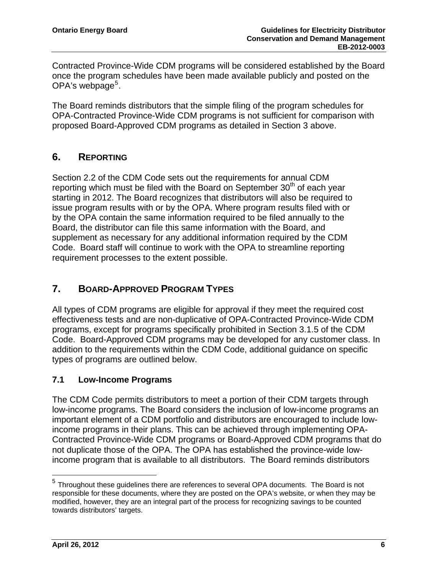Contracted Province-Wide CDM programs will be considered established by the Boa rd once the program s chedules have been made available publicly and posted on the OPA's webpage<sup>5</sup>.

OPA-Contracted Province-Wide CDM programs is not sufficient for comparison with roposed Board-Approved CDM programs as detailed in Section 3 above. p The Board reminds distributors that the simple filing of the program schedules for

#### <span id="page-7-0"></span>**. REPORTING 6**

by the OPA contain the same information required to be filed annually to the Code. Board staff will continue to work with the OPA to streamline reporting requirement processes to the extent possible. Section 2.2 of the CDM Code sets out the requirements for annual CDM reporting which must be filed with the Board on September  $30<sup>th</sup>$  of each year starting in 2012. The Board recognizes that distributors will also be required to issue program results with or by the OPA. Where program results filed with or Board, the distributor can file this same information with the Board, and supplement as necessary for any additional information required by the CDM

#### <span id="page-7-1"></span>**. BOARD-APPROVED PROGRAM TYPES 7**

Code. Board-Approved CDM programs may be developed for any customer class. In addition to the requirements within the CDM Code, additional guidance on specific types of programs are outlined below. All types of CDM programs are eligible for approval if they meet the required cost effectiveness tests and are non-duplicative of OPA-Contracted Province-Wide CDM programs, except for programs specifically prohibited in Section 3.1.5 of the CDM

#### <span id="page-7-2"></span>**.1 Low-Income Programs 7**

- important element of a CDM portfolio and distributors are encouraged to include low Contracted Province-Wide CDM programs or Board-Approved CDM programs that do income program that is available to all distributors. The Board reminds distributors The CDM Code permits distributors to meet a portion of their CDM targets through low-income programs. The Board considers the inclusion of low-income programs an income programs in their plans. This can be achieved through implementing OPAnot duplicate those of the OPA. The OPA has established the province-wide low-

 $\overline{a}$ 

 $<sup>5</sup>$  Throughout these guidelines there are references to several OPA documents. The Board is not</sup> responsible for these documents, where they are posted on the OPA's website, or when they may be modified, however, they are an integral part of the process for recognizing savings to be counted towards distributors' targets.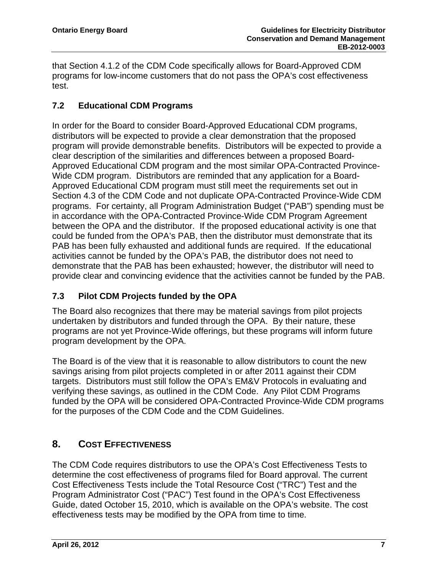that Section 4.1.2 of the CDM Code specifically allows for Board-Approved CDM programs for low-income customers that do not pass the OPA's cost effectiveness test.

#### <span id="page-8-0"></span>**.2 Educational CDM Programs 7**

program will provide demonstrable benefits. Distributors will be expected to provide a Approved Educational CDM program and the most similar OPA-Contracted Provinceprograms. For certainty, all Program Administration Budget ("PAB") spending must be PAB has been fully exhausted and additional funds are required. If the educational provide clear and convincing evidence that the activities cannot be funded by the PAB. In order for the Board to consider Board-Approved Educational CDM programs, distributors will be expected to provide a clear demonstration that the proposed clear description of the similarities and differences between a proposed Board-Wide CDM program. Distributors are reminded that any application for a Board-Approved Educational CDM program must still meet the requirements set out in Section 4.3 of the CDM Code and not duplicate OPA-Contracted Province-Wide CDM in accordance with the OPA-Contracted Province-Wide CDM Program Agreement between the OPA and the distributor. If the proposed educational activity is one that could be funded from the OPA's PAB, then the distributor must demonstrate that its activities cannot be funded by the OPA's PAB, the distributor does not need to demonstrate that the PAB has been exhausted; however, the distributor will need to

# <span id="page-8-1"></span>**7.3 Pilot CDM Projects funded by the OPA**

programs are not yet Province-Wide offerings, but these programs will inform future program development by the OPA. The Board also recognizes that there may be material savings from pilot projects undertaken by distributors and funded through the OPA. By their nature, these

The Board is of the view that it is reasonable to allow distributors to count the new funded by the OPA will be considered OPA-Contracted Province-Wide CDM programs for the purposes of the CDM Code and the CDM Guidelines. savings arising from pilot projects completed in or after 2011 against their CDM targets. Distributors must still follow the OPA's EM&V Protocols in evaluating and verifying these savings, as outlined in the CDM Code. Any Pilot CDM Programs

#### <span id="page-8-2"></span>**. COST EFFECTIVENESS 8**

determine the cost effectiveness of programs filed for Board approval. The current Guide, dated October 15, 2010, which is available on the OPA's website. The cost effectiveness tests may be modified by the OPA from time to time. The CDM Code requires distributors to use the OPA's Cost Effectiveness Tests to Cost Effectiveness Tests include the Total Resource Cost ("TRC") Test and the Program Administrator Cost ("PAC") Test found in the OPA's Cost Effectiveness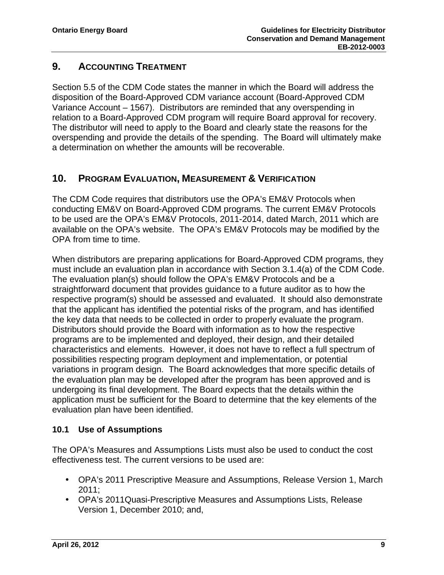### <span id="page-9-0"></span>**9. ACCOUNTING TREATMENT**

Section 5.5 of the CDM Code states the manner in which the Board will address the Variance Account – 1567). Distributors are reminded that any overspending in relation to a Board-Approved CDM program will require Board approval for recovery. The distributor will need to apply to the Board and clearly state the reasons for the overspending and provide the details of the spending. The Board will ultimately make a determination on whether the amounts will be recoverable. disposition of the Board-Approved CDM variance account (Board-Approved CDM

#### <span id="page-9-1"></span>**10. PROGRAM EVALUATION, MEASUREMENT & VERIFICATION**

available on the OPA's website. The OPA's EM&V Protocols may be modified by the The CDM Code requires that distributors use the OPA's EM&V Protocols when conducting EM&V on Board-Approved CDM programs. The current EM&V Protocols to be used are the OPA's EM&V Protocols, 2011-2014, dated March, 2011 which are OPA from time to time.

Distributors should provide the Board with information as to how the respective programs are to be implemented and deployed, their design, and their detailed haracteristics and elements. However, it does not have to reflect a full spectrum of c possibilities respecting program deployment and implementation, or potential variations in program design. The Board acknowledges that more specific details of the evaluation plan may be developed after the program has been approved and is When distributors are preparing applications for Board-Approved CDM programs, they must include an evaluation plan in accordance with Section 3.1.4(a) of the CDM Code. The evaluation plan(s) should follow the OPA's EM&V Protocols and be a straightforward document that provides guidance to a future auditor as to how the respective program(s) should be assessed and evaluated. It should also demonstrate that the applicant has identified the potential risks of the program, and has identified the key data that needs to be collected in order to properly evaluate the program. undergoing its final development. The Board expects that the details within the application must be sufficient for the Board to determine that the key elements of the evaluation plan have been identified.

#### <span id="page-9-2"></span>**10.1 Use of Assumptions**

The OPA's Measures and Assumptions Lists must also be used to conduct the cost effectiveness test. The current versions to be used are:

- OPA's 2011 Prescriptive Measure and Assumptions, Release Version 1, March 2011;
- OPA's 2011Quasi-Prescriptive Measures and Assumptions Lists, Release Version 1, December 2010; and,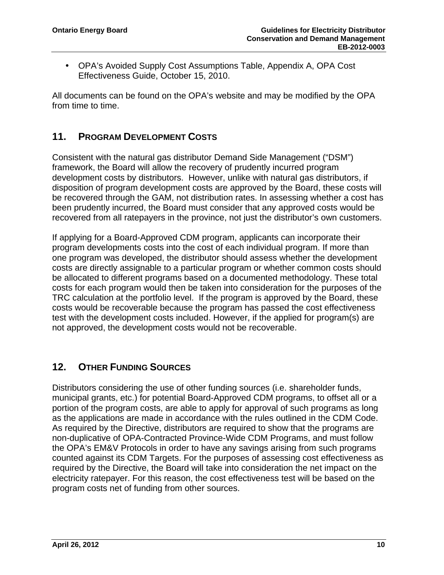OPA's Avoided Supply Cost Assumptions Table, Appendix A, OPA Cost Effectiveness Guide, October 15, 2010.

All documents can be found on the OPA's website and may be modified by the OPA from time to time.

# <span id="page-10-0"></span>**11. PROGRAM DEVELOPMENT COSTS**

disposition of program development costs are approved by the Board, these costs will recovered from all ratepayers in the province, not just the distributor's own customers. Consistent with the natural gas distributor Demand Side Management ("DSM") framework, the Board will allow the recovery of prudently incurred program development costs by distributors. However, unlike with natural gas distributors, if be recovered through the GAM, not distribution rates. In assessing whether a cost has been prudently incurred, the Board must consider that any approved costs would be

If applying for a Board-Approved CDM program, applicants can incorporate their program developments costs into the cost of each individual program. If more than one program was developed, the distributor should assess whether the development costs are directly assignable to a particular program or whether common costs should test with the development costs included. However, if the applied for program(s) are not approved, the development costs would not be recoverable. be allocated to different programs based on a documented methodology. These total costs for each program would then be taken into consideration for the purposes of the TRC calculation at the portfolio level. If the program is approved by the Board, these costs would be recoverable because the program has passed the cost effectiveness

# <span id="page-10-1"></span>**12. OTHER FUNDING SOURCES**

municipal grants, etc.) for potential Board-Approved CDM programs, to offset all or a as the applications are made in accordance with the rules outlined in the CDM Code. counted against its CDM Targets. For the purposes of assessing cost effectiveness as required by the Directive, the Board will take into consideration the net impact on the Distributors considering the use of other funding sources (i.e. shareholder funds, portion of the program costs, are able to apply for approval of such programs as long As required by the Directive, distributors are required to show that the programs are non-duplicative of OPA-Contracted Province-Wide CDM Programs, and must follow the OPA's EM&V Protocols in order to have any savings arising from such programs electricity ratepayer. For this reason, the cost effectiveness test will be based on the program costs net of funding from other sources.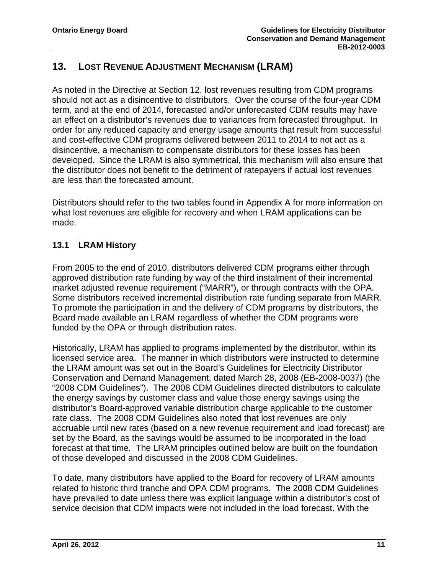# **13. LOST REVENUE ADJUSTMENT MECHANISM (LRAM)**

As noted in the Directive at Section 12, lost revenues resulting from CDM programs should not act as a disincentive to distributors. Over the course of the four-year CDM term, and at the end of 2014, forecasted and/or unforecasted CDM results may have an effect on a distributor's revenues due to variances from forecasted throughput. In order for any reduced capacity and energy usage amounts that result from successful and cost-effective CDM programs delivered between 2011 to 2014 to not act as a disincentive, a mechanism to compensate distributors for these losses has been developed. Since the LRAM is also symmetrical, this mechanism will also ensure that the distributor does not benefit to the detriment of ratepayers if actual lost revenues are less than the forecasted amount.

Distributors should refer to the two tables found in Appendix A for more information on what lost revenues are eligible for recovery and when LRAM applications can be made.

### <span id="page-11-1"></span>**13.1 LRAM History**

approved distribution rate funding by way of the third instalment of their incremental market adjusted revenue requirement ("MARR"), or through contracts with the OPA. Some distributors received incremental distribution rate funding separate from MARR. From 2005 to the end of 2010, distributors delivered CDM programs either through To promote the participation in and the delivery of CDM programs by distributors, the Board made available an LRAM regardless of whether the CDM programs were funded by the OPA or through distribution rates.

licensed service area. The manner in which distributors were instructed to determine Conservation and Demand Management, dated March 28, 2008 (EB-2008-0037) (the "2008 CDM Guidelines"). The 2008 CDM Guidelines directed distributors to calculate the energy savings by customer class and value those energy savings using the distributor's Board-approved variable distribution charge applicable to the customer Historically, LRAM has applied to programs implemented by the distributor, within its the LRAM amount was set out in the Board's Guidelines for Electricity Distributor rate class. The 2008 CDM Guidelines also noted that lost revenues are only accruable until new rates (based on a new revenue requirement and load forecast) are set by the Board, as the savings would be assumed to be incorporated in the load forecast at that time. The LRAM principles outlined below are built on the foundation of those developed and discussed in the 2008 CDM Guidelines.

<span id="page-11-0"></span>To date, many distributors have applied to the Board for recovery of LRAM amounts related to historic third tranche and OPA CDM programs. The 2008 CDM Guidelines have prevailed to date unless there was explicit language within a distributor's cost of service decision that CDM impacts were not included in the load forecast. With the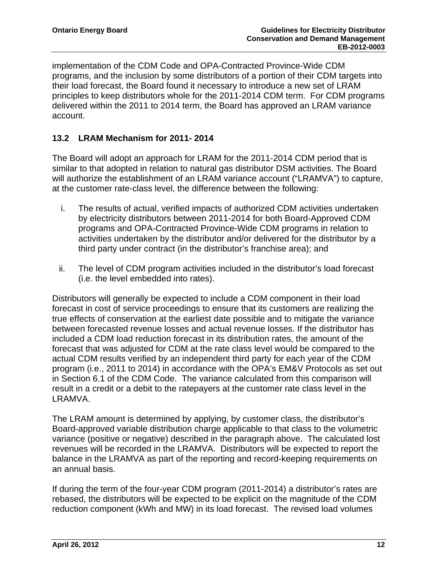implementation of the CDM Code and OPA-Contracted Province-Wide CDM programs, and the inclusion by some distributors of a portion of their CDM targ ets into their load forecast, the Board found it necessary to introduce a new set of LRAM principles to keep distributors whole for the 2011-2014 CDM term. For CDM programs delivered within the 2011 to 2014 term, the Board has approved an LRAM variance account.

#### <span id="page-12-0"></span>**13.2 LRAM Mechanism for 2011- 2014**

similar to that adopted in relation to natural gas distributor DSM activities. The Board will authorize the establishment of an LRAM variance account ("LRAMVA") to capture, The Board will adopt an approach for LRAM for the 2011-2014 CDM period that is at the customer rate-class level, the difference between the following:

- by electricity distributors between 2011-2014 for both Board-Approved CDM i. The results of actual, verified impacts of authorized CDM activities undertaken programs and OPA-Contracted Province-Wide CDM programs in relation to activities undertaken by the distributor and/or delivered for the distributor by a third party under contract (in the distributor's franchise area); and
- ii. The level of CDM program activities included in the distributor's load forecast (i.e. the level embedded into rates).

forecast in cost of service proceedings to ensure that its customers are realizing the true effects of conservation at the earliest date possible and to mitigate the variance between forecasted revenue losses and actual revenue losses. If the distributor has included a CDM load reduction forecast in its distribution rates, the amount of the program (i.e., 2011 to 2014) in accordance with the OPA's EM&V Protocols as set out in Section 6.1 of the CDM Code. The variance calculated from this comparison will Distributors will generally be expected to include a CDM component in their load forecast that was adjusted for CDM at the rate class level would be compared to the actual CDM results verified by an independent third party for each year of the CDM result in a credit or a debit to the ratepayers at the customer rate class level in the LRAMVA.

The LRAM amount is determined by applying, by customer class, the distributor's Board-approved variable distribution charge applicable to that class to the volumetric balance in the LRAMVA as part of the reporting and record-keeping requirements on variance (positive or negative) described in the paragraph above. The calculated lost revenues will be recorded in the LRAMVA. Distributors will be expected to report the an annual basis.

reduction component (kWh and MW) in its load forecast. The revised load volumes If during the term of the four-year CDM program (2011-2014) a distributor's rates are rebased, the distributors will be expected to be explicit on the magnitude of the CDM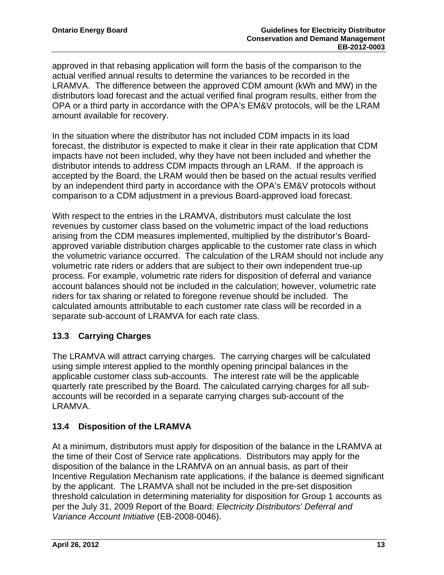approved in that rebasing application will form the basis of the comparison to the LRAMVA. The difference between the approved CDM amount (kWh and MW) in the distributors load forecast and the actual verified final program results, either from the OPA or a third party in accordance with the OPA's EM&V protocols, will be the LRAM actual verified annual results to determine the variances to be recorded in the amount available for recovery.

forecast, the distributor is expected to make it clear in their rate application that CDM impacts have not been included, why they have not been included and whether the distributor intends to address CDM impacts through an LRAM. If the approach is accepted by the Board, the LRAM would then be based on the actual results verified comparison to a CDM adjustment in a previous Board-approved load forecast. In the situation where the distributor has not included CDM impacts in its load by an independent third party in accordance with the OPA's EM&V protocols without

revenues by customer class based on the volumetric impact of the load reductions arising from the CDM measures implemented, multiplied by the distributor's Boardapproved variable distribution charges applicable to the customer rate class in which the volumetric variance occurred. The calculation of the LRAM should not include any volume tric rate riders or adders that are subject to their own independent true-up process. For example, volumetric rate riders for disposition of deferral and variance account balances should not be included in the calculation; however, volumetric rate riders for tax sharing or related to foregone revenue should be included. The calcula ted amounts attributable to each customer rate class will be recorded in a separa te sub-account of LRAMVA for each rate class. With respect to the entries in the LRAMVA, distributors must calculate the lost

### <span id="page-13-0"></span>**13.3 Carrying Charges**

The LRAMVA will attract carrying charges. The carrying charges will be calculated using simple interest applied to the monthly opening principal balances in the applicable customer class sub-accounts. The interest rate will be the applicable quarterly rate prescribed by the Board. The calculated carrying charges for all subaccounts will be recorded in a separate carrying charges sub-account of the LRAMVA.

#### <span id="page-13-1"></span>**13.4 Disposition of the LRAMVA**

At a minimum, distributors must apply for disposition of the balance in the LRAMVA at disposition of the balance in the LRAMVA on an annual basis, as part of their Incentive Regulation Mechanism rate applications, if the balance is deemed significant *Variance Account Initiative* (EB-2008-0046). the time of their Cost of Service rate applications. Distributors may apply for the by the applicant. The LRAMVA shall not be included in the pre-set disposition threshold calculation in determining materiality for disposition for Group 1 accounts as per the July 31, 2009 Report of the Board: *Electricity Distributors' Deferral and*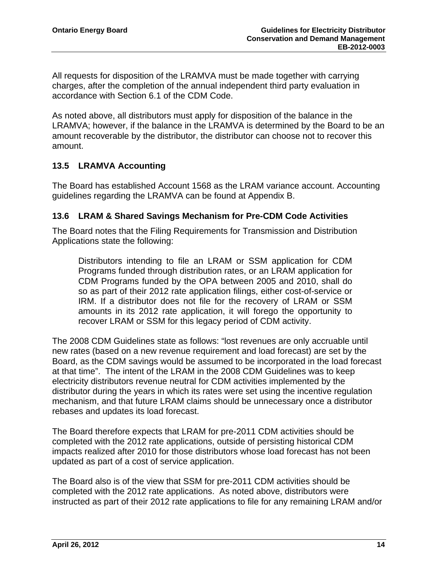All requests for disposition of the LRAMVA must be made together with carrying harges, after the completion of the annual independent third party evaluation in c accordance with Section 6.1 of the CDM Code.

amount recoverable by the distributor, the distributor can choose not to recover this As noted above, all distributors must apply for disposition of the balance in the LRAMVA; however, if the balance in the LRAMVA is determined by the Board to be an amount.

#### <span id="page-14-0"></span>**13.5 LRAMVA Accounting**

The Board has established Account 1568 as the LRAM variance account. Accounting guidelines regarding the LRAMVA can be found at Appendix B.

#### <span id="page-14-1"></span>**13.6 LRAM & Shared Savings Mechanism for Pre-CDM Code Activities**

The Board notes that the Filing Requirements for Transmission and Distribution Applications state the following:

Distributors intending to file an LRAM or SSM application for CDM Programs funded through distribution rates, or an LRAM application for CDM Programs funded by the OPA between 2005 and 2010, shall do so as part of their 2012 rate application filings, either cost-of-service or IRM. If a distributor does not file for the recovery of LRAM or SSM amounts in its 2012 rate application, it will forego the opportunity to recover LRAM or SSM for this legacy period of CDM activity.

The 2008 CDM Guidelines state as follows: "lost revenues are only accruable until new rates (based on a new revenue requirement and load forecast) are set by the Board, as the CDM savings would be assumed to be incorporated in the load forecast at that time". The intent of the LRAM in the 2008 CDM Guidelines was to keep electricity distributors revenue neutral for CDM activities implemented by the distributor during the years in which its rates were set using the incentive regulation mechanism, and that future LRAM claims should be unnecessary once a distributor rebases and updates its load forecast.

The Board therefore expects that LRAM for pre-2011 CDM activities should be completed with the 2012 rate applications, outside of persisting historical CDM impacts realized after 2010 for those distributors whose load forecast has not been updated as part of a cost of service application.

The Board also is of the view that SSM for pre-2011 CDM activities should be completed with the 2012 rate applications. As noted above, distributors were instructed as part of their 2012 rate applications to file for any remaining LRAM and/or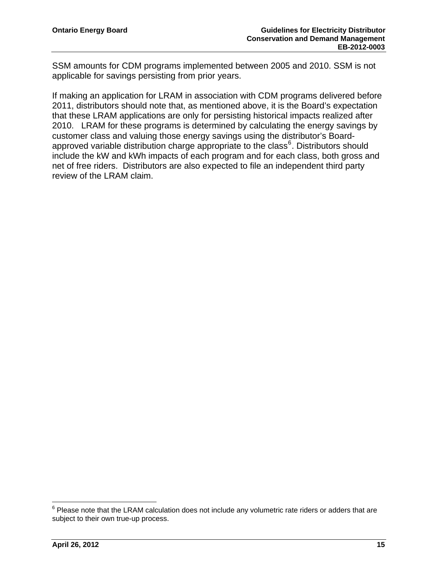SSM amounts for CDM programs implemented between 2005 and 2010. SSM is not applicable for savings persisting from prior years.

If making an application for LRAM in association with CDM programs delivered before 2011, distributors should note that, as mentioned above, it is the Board's expectation that these LRAM applications are only for persisting historical impacts realized after 2010. LRAM for these programs is determined by calculating the energy savings by customer class and valuing those energy savings using the distributor's Boardapproved variable distribution charge appropriate to the class<sup>6</sup>. Distributors should include the kW and kWh impacts of each program and for each class, both gross and net of free riders. Distributors are also expected to file an independent third party review of the LRAM claim.

 6 Please note that the LRAM calculation does not include any volumetric rate riders or adders that are subject to their own true-up process.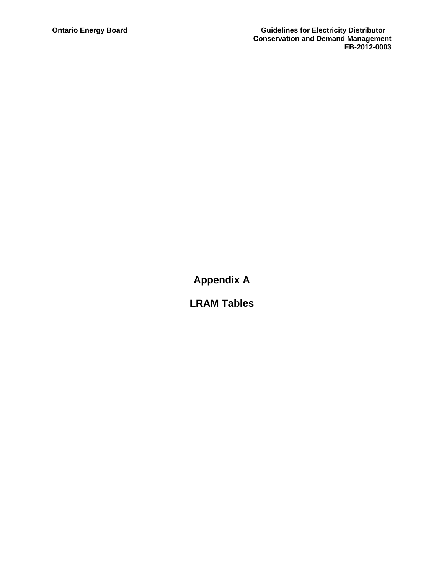**Appendix A** 

**LRAM Tables**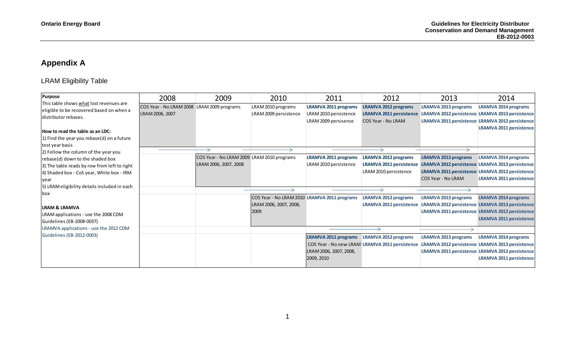# **Appendix A**

# LRAM Eligibility Table

<span id="page-17-0"></span>

| <b>Purpose</b>                                                                                                                                                                | 2008                                                          | 2009                                                                | 2010                                                                           | 2011                                                                         | 2012                                                                                   | 2013                                                     | 2014                                                                                                                                                                |
|-------------------------------------------------------------------------------------------------------------------------------------------------------------------------------|---------------------------------------------------------------|---------------------------------------------------------------------|--------------------------------------------------------------------------------|------------------------------------------------------------------------------|----------------------------------------------------------------------------------------|----------------------------------------------------------|---------------------------------------------------------------------------------------------------------------------------------------------------------------------|
| This table shows what lost revenues are<br>eligible to be recovered based on when a<br>distributor rebases.                                                                   | COS Year - No LRAM 2008 LRAM 2009 programs<br>LRAM 2006, 2007 |                                                                     | LRAM 2010 programs<br>LRAM 2009 persistence                                    | <b>LRAMVA 2011 programs</b><br>LRAM 2010 persistence<br>LRAM 2009 persisence | <b>LRAMVA 2012 programs</b><br><b>LRAMVA 2011 persistence</b><br>COS Year - No LRAM    | <b>LRAMVA 2013 programs</b>                              | <b>LRAMVA 2014 programs</b><br>LRAMVA 2012 persistence LRAMVA 2013 persistence<br>LRAMVA 2011 persistence LRAMVA 2012 persistence                                   |
| How to read the table as an LDC:<br>1) Find the year you rebase(d) on a future<br>test year basis                                                                             |                                                               |                                                                     |                                                                                |                                                                              |                                                                                        |                                                          | <b>LRAMVA 2011 persistence</b>                                                                                                                                      |
| 2) Follow the column of the year you<br>rebase(d) down to the shaded box<br>3) The table reads by row from left to right<br>4) Shaded box - CoS year, White box - IRM<br>vear |                                                               | COS Year - No LRAM 2009 LRAM 2010 programs<br>LRAM 2006, 2007, 2008 |                                                                                | <b>LRAMVA 2011 programs</b><br>LRAM 2010 persistence                         | <b>LRAMVA 2012 programs</b><br><b>LRAMVA 2011 persistence</b><br>LRAM 2010 persistence | <b>LRAMVA 2013 programs</b><br><b>COS Year - No LRAM</b> | <b>LRAMVA 2014 programs</b><br>LRAMVA 2012 persistence LRAMVA 2013 persistence<br>LRAMVA 2011 persistence LRAMVA 2012 persistence<br><b>LRAMVA 2011 persistence</b> |
| 5) LRAM eligibility details included in each<br>box<br>ILRAM & LRAMVA<br>LRAM applications - use the 2008 CDM<br>Guidelines (EB-2008-0037)                                    |                                                               |                                                                     | COS Year - No LRAM 2010 LRAMVA 2011 programs<br>LRAM 2006, 2007, 2008,<br>2009 |                                                                              | <b>LRAMVA 2012 programs</b><br><b>LRAMVA 2011 persistence</b>                          | <b>LRAMVA 2013 programs</b>                              | <b>LRAMVA 2014 programs</b><br>LRAMVA 2012 persistence LRAMVA 2013 persistence<br>LRAMVA 2011 persistence LRAMVA 2012 persistence<br><b>LRAMVA 2011 persistence</b> |
| LRAMVA applications - use the 2012 CDM<br>Guidelines (EB-2012-0003)                                                                                                           |                                                               |                                                                     |                                                                                | <b>LRAMVA 2011 programs</b><br>LRAM 2006, 2007, 2008,<br>2009, 2010          | <b>LRAMVA 2012 programs</b><br>COS Year - No new LRAM LRAMVA 2011 persistence          | <b>LRAMVA 2013 programs</b>                              | <b>LRAMVA 2014 programs</b><br>LRAMVA 2012 persistence LRAMVA 2013 persistence<br>LRAMVA 2011 persistence LRAMVA 2012 persistence<br><b>LRAMVA 2011 persistence</b> |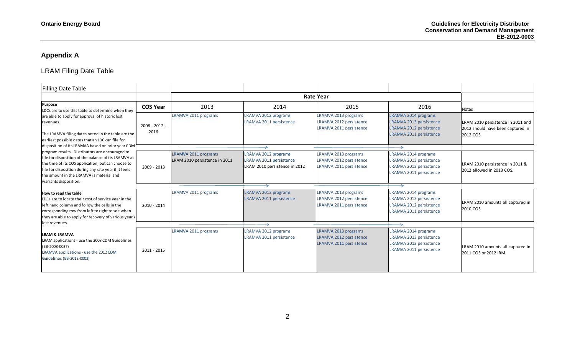# **Appendix A**

# LRAM Filing Date Table

| <b>Filling Date Table</b>                                                                                                                                                                                                                  |                         |                                                       |                                                                                  |                                                                            |                                                                                                       |                                                                                            |
|--------------------------------------------------------------------------------------------------------------------------------------------------------------------------------------------------------------------------------------------|-------------------------|-------------------------------------------------------|----------------------------------------------------------------------------------|----------------------------------------------------------------------------|-------------------------------------------------------------------------------------------------------|--------------------------------------------------------------------------------------------|
|                                                                                                                                                                                                                                            |                         |                                                       |                                                                                  |                                                                            |                                                                                                       |                                                                                            |
| <b>Purpose</b><br>LDCs are to use this table to determine when they                                                                                                                                                                        | <b>COS Year</b>         | 2013                                                  | 2014                                                                             | 2015                                                                       | 2016                                                                                                  | <b>Notes</b>                                                                               |
| are able to apply for approval of historic lost<br>revenues.<br>The LRAMVA filing dates noted in the table are the<br>earliest possible dates that an LDC can file for                                                                     | $2008 - 2012 -$<br>2016 | LRAMVA 2011 programs                                  | LRAMVA 2012 programs<br>LRAMVA 2011 persistence                                  | LRAMVA 2013 programs<br>LRAMVA 2012 persistence<br>LRAMVA 2011 persistence | LRAMVA 2014 programs<br>LRAMVA 2013 persistence<br>LRAMVA 2012 persistence<br>LRAMVA 2011 persistence | LRAM 2010 persistence in 2011 and<br>2012 should have been captured in<br><b>2012 COS.</b> |
| disposition of its LRAMVA based on prior year CDM<br>program results. Distributors are encouraged to                                                                                                                                       |                         |                                                       |                                                                                  |                                                                            |                                                                                                       |                                                                                            |
| file for disposition of the balance of its LRAMVA at<br>the time of its COS application, but can choose to<br>ile for disposition during any rate year if it feels<br>the amount in the LRAMVA is material and<br>warrants disposition.    | 2009 - 2013             | LRAMVA 2011 programs<br>LRAM 2010 persistence in 2011 | LRAMVA 2012 programs<br>LRAMVA 2011 persistence<br>LRAM 2010 persistence in 2012 | LRAMVA 2013 programs<br>LRAMVA 2012 persistence<br>LRAMVA 2011 persistence | LRAMVA 2014 programs<br>LRAMVA 2013 persistence<br>LRAMVA 2012 persistence<br>LRAMVA 2011 persistence | LRAM 2010 persistence in 2011 &<br>2012 allowed in 2013 COS.                               |
|                                                                                                                                                                                                                                            |                         |                                                       |                                                                                  |                                                                            |                                                                                                       |                                                                                            |
| How to read the table<br>LDCs are to locate their cost of service year in the<br>left hand column and follow the cells in the<br>corresponding row from left to right to see when<br>they are able to apply for recovery of various year's | 2010 - 2014             | LRAMVA 2011 programs                                  | LRAMVA 2012 programs<br>LRAMVA 2011 persistence                                  | LRAMVA 2013 programs<br>LRAMVA 2012 persistence<br>LRAMVA 2011 persistence | LRAMVA 2014 programs<br>LRAMVA 2013 persistence<br>LRAMVA 2012 persistence<br>LRAMVA 2011 persistence | LRAM 2010 amounts all captured in<br>2010 COS                                              |
| lost revenues.                                                                                                                                                                                                                             |                         |                                                       |                                                                                  |                                                                            |                                                                                                       |                                                                                            |
| <b>LRAM &amp; LRAMVA</b><br>LRAM applications - use the 2008 CDM Guidelines<br>(EB-2008-0037)<br>LRAMVA applications - use the 2012 CDM<br>Guidelines (EB-2012-0003)                                                                       | 2011 - 2015             | LRAMVA 2011 programs                                  | LRAMVA 2012 programs<br>LRAMVA 2011 persistence                                  | LRAMVA 2013 programs<br>LRAMVA 2012 persistence<br>LRAMVA 2011 persistence | LRAMVA 2014 programs<br>LRAMVA 2013 persistence<br>LRAMVA 2012 persistence<br>LRAMVA 2011 persistence | LRAM 2010 amounts all captured in<br>2011 COS or 2012 IRM.                                 |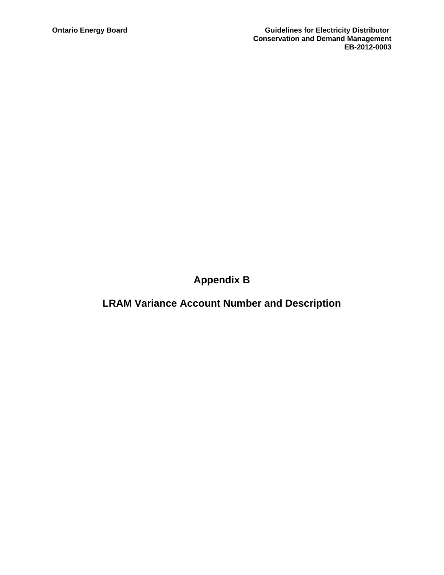**Appendix B** 

**LRAM Variance Account Number and Description**